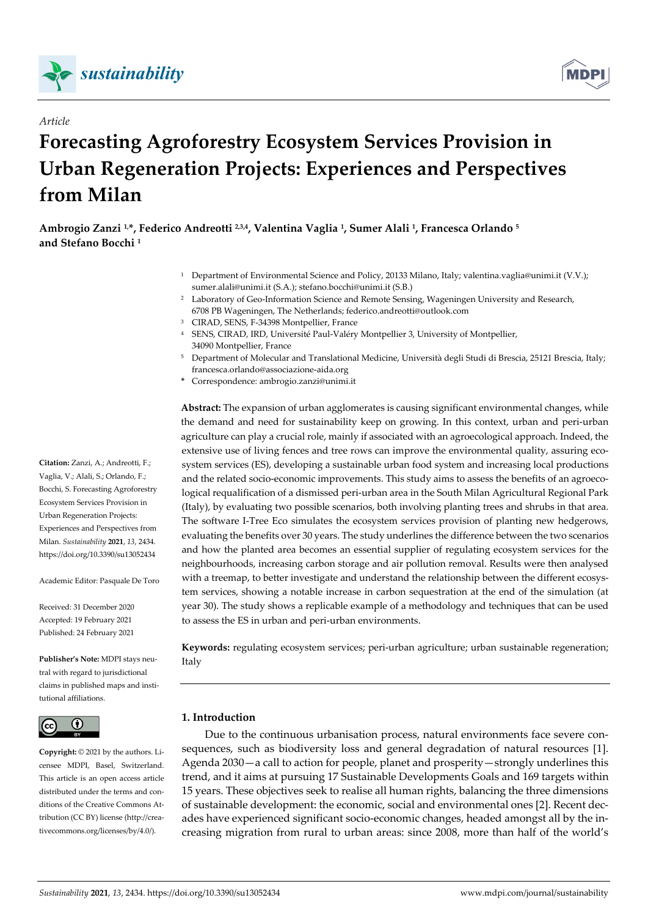

*Article* 



# **Forecasting Agroforestry Ecosystem Services Provision in Urban Regeneration Projects: Experiences and Perspectives from Milan**

**Ambrogio Zanzi 1,\*, Federico Andreotti 2,3,4, Valentina Vaglia 1, Sumer Alali 1, Francesca Orlando 5 and Stefano Bocchi 1**

- 1 Department of Environmental Science and Policy, 20133 Milano, Italy; valentina.vaglia@unimi.it (V.V.); sumer.alali@unimi.it (S.A.); stefano.bocchi@unimi.it (S.B.)
- 2 Laboratory of Geo-Information Science and Remote Sensing, Wageningen University and Research, 6708 PB Wageningen, The Netherlands; federico.andreotti@outlook.com
- 3 CIRAD, SENS, F-34398 Montpellier, France
- 4 SENS, CIRAD, IRD, Université Paul-Valéry Montpellier 3, University of Montpellier, 34090 Montpellier, France
- 5 Department of Molecular and Translational Medicine, Università degli Studi di Brescia, 25121 Brescia, Italy; francesca.orlando@associazione-aida.org
- **\*** Correspondence: ambrogio.zanzi@unimi.it

**Abstract:** The expansion of urban agglomerates is causing significant environmental changes, while the demand and need for sustainability keep on growing. In this context, urban and peri-urban agriculture can play a crucial role, mainly if associated with an agroecological approach. Indeed, the extensive use of living fences and tree rows can improve the environmental quality, assuring ecosystem services (ES), developing a sustainable urban food system and increasing local productions and the related socio-economic improvements. This study aims to assess the benefits of an agroecological requalification of a dismissed peri-urban area in the South Milan Agricultural Regional Park (Italy), by evaluating two possible scenarios, both involving planting trees and shrubs in that area. The software I-Tree Eco simulates the ecosystem services provision of planting new hedgerows, evaluating the benefits over 30 years. The study underlines the difference between the two scenarios and how the planted area becomes an essential supplier of regulating ecosystem services for the neighbourhoods, increasing carbon storage and air pollution removal. Results were then analysed with a treemap, to better investigate and understand the relationship between the different ecosystem services, showing a notable increase in carbon sequestration at the end of the simulation (at year 30). The study shows a replicable example of a methodology and techniques that can be used to assess the ES in urban and peri-urban environments.

**Keywords:** regulating ecosystem services; peri-urban agriculture; urban sustainable regeneration; Italy

# **1. Introduction**

Due to the continuous urbanisation process, natural environments face severe consequences, such as biodiversity loss and general degradation of natural resources [1]. Agenda 2030—a call to action for people, planet and prosperity—strongly underlines this trend, and it aims at pursuing 17 Sustainable Developments Goals and 169 targets within 15 years. These objectives seek to realise all human rights, balancing the three dimensions of sustainable development: the economic, social and environmental ones [2]. Recent decades have experienced significant socio-economic changes, headed amongst all by the increasing migration from rural to urban areas: since 2008, more than half of the world's

**Citation:** Zanzi, A.; Andreotti, F.; Vaglia, V.; Alali, S.; Orlando, F.; Bocchi, S. Forecasting Agroforestry Ecosystem Services Provision in Urban Regeneration Projects: Experiences and Perspectives from Milan. *Sustainability* **2021**, *13*, 2434. https://doi.org/10.3390/su13052434

Academic Editor: Pasquale De Toro

Received: 31 December 2020 Accepted: 19 February 2021 Published: 24 February 2021

**Publisher's Note:** MDPI stays neutral with regard to jurisdictional claims in published maps and institutional affiliations.



**Copyright:** © 2021 by the authors. Licensee MDPI, Basel, Switzerland. This article is an open access article distributed under the terms and conditions of the Creative Commons Attribution (CC BY) license (http://creativecommons.org/licenses/by/4.0/).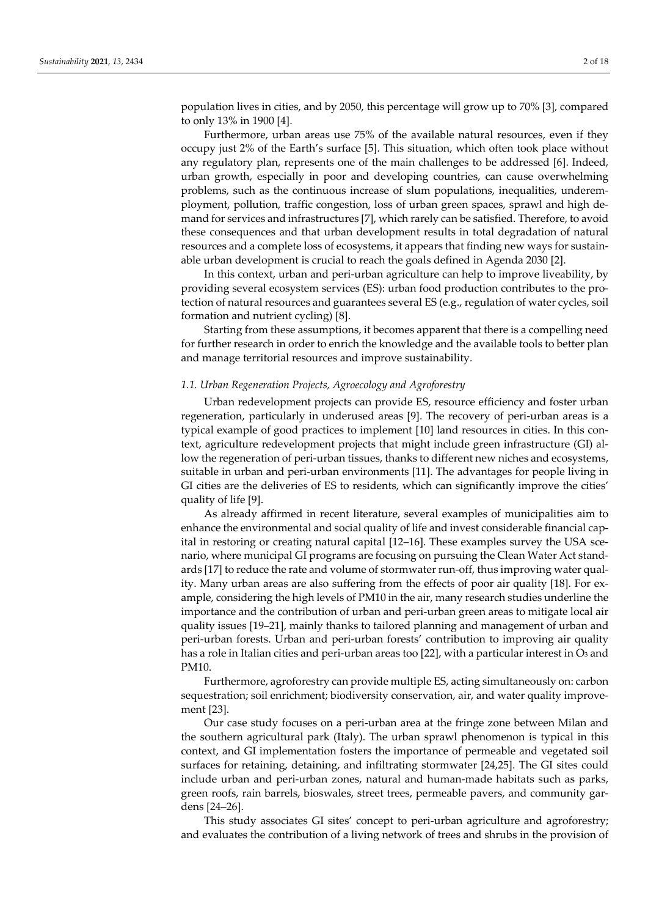population lives in cities, and by 2050, this percentage will grow up to 70% [3], compared to only 13% in 1900 [4].

Furthermore, urban areas use 75% of the available natural resources, even if they occupy just 2% of the Earth's surface [5]. This situation, which often took place without any regulatory plan, represents one of the main challenges to be addressed [6]. Indeed, urban growth, especially in poor and developing countries, can cause overwhelming problems, such as the continuous increase of slum populations, inequalities, underemployment, pollution, traffic congestion, loss of urban green spaces, sprawl and high demand for services and infrastructures [7], which rarely can be satisfied. Therefore, to avoid these consequences and that urban development results in total degradation of natural resources and a complete loss of ecosystems, it appears that finding new ways for sustainable urban development is crucial to reach the goals defined in Agenda 2030 [2].

In this context, urban and peri-urban agriculture can help to improve liveability, by providing several ecosystem services (ES): urban food production contributes to the protection of natural resources and guarantees several ES (e.g., regulation of water cycles, soil formation and nutrient cycling) [8].

Starting from these assumptions, it becomes apparent that there is a compelling need for further research in order to enrich the knowledge and the available tools to better plan and manage territorial resources and improve sustainability.

# *1.1. Urban Regeneration Projects, Agroecology and Agroforestry*

Urban redevelopment projects can provide ES, resource efficiency and foster urban regeneration, particularly in underused areas [9]. The recovery of peri-urban areas is a typical example of good practices to implement [10] land resources in cities. In this context, agriculture redevelopment projects that might include green infrastructure (GI) allow the regeneration of peri-urban tissues, thanks to different new niches and ecosystems, suitable in urban and peri-urban environments [11]. The advantages for people living in GI cities are the deliveries of ES to residents, which can significantly improve the cities' quality of life [9].

As already affirmed in recent literature, several examples of municipalities aim to enhance the environmental and social quality of life and invest considerable financial capital in restoring or creating natural capital [12–16]. These examples survey the USA scenario, where municipal GI programs are focusing on pursuing the Clean Water Act standards [17] to reduce the rate and volume of stormwater run-off, thus improving water quality. Many urban areas are also suffering from the effects of poor air quality [18]. For example, considering the high levels of PM10 in the air, many research studies underline the importance and the contribution of urban and peri-urban green areas to mitigate local air quality issues [19–21], mainly thanks to tailored planning and management of urban and peri-urban forests. Urban and peri-urban forests' contribution to improving air quality has a role in Italian cities and peri-urban areas too [22], with a particular interest in  $\mathcal{O}_3$  and PM10.

Furthermore, agroforestry can provide multiple ES, acting simultaneously on: carbon sequestration; soil enrichment; biodiversity conservation, air, and water quality improvement [23].

Our case study focuses on a peri-urban area at the fringe zone between Milan and the southern agricultural park (Italy). The urban sprawl phenomenon is typical in this context, and GI implementation fosters the importance of permeable and vegetated soil surfaces for retaining, detaining, and infiltrating stormwater [24,25]. The GI sites could include urban and peri-urban zones, natural and human-made habitats such as parks, green roofs, rain barrels, bioswales, street trees, permeable pavers, and community gardens [24–26].

This study associates GI sites' concept to peri-urban agriculture and agroforestry; and evaluates the contribution of a living network of trees and shrubs in the provision of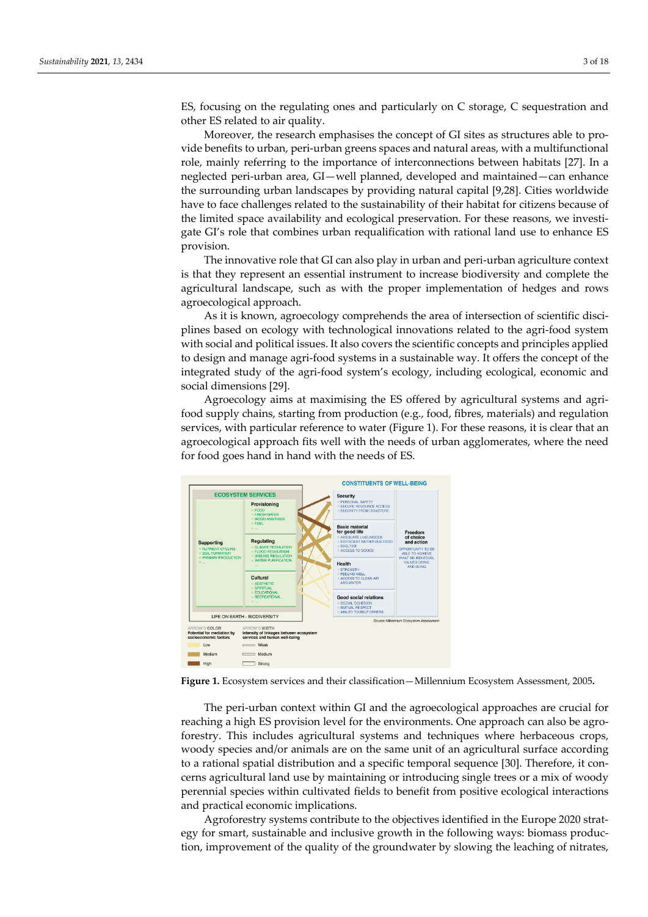ES, focusing on the regulating ones and particularly on C storage, C sequestration and other ES related to air quality.

Moreover, the research emphasises the concept of GI sites as structures able to provide benefits to urban, peri-urban greens spaces and natural areas, with a multifunctional role, mainly referring to the importance of interconnections between habitats [27]. In a neglected peri-urban area, GI—well planned, developed and maintained—can enhance the surrounding urban landscapes by providing natural capital [9,28]. Cities worldwide have to face challenges related to the sustainability of their habitat for citizens because of the limited space availability and ecological preservation. For these reasons, we investigate GI's role that combines urban requalification with rational land use to enhance ES provision.

The innovative role that GI can also play in urban and peri-urban agriculture context is that they represent an essential instrument to increase biodiversity and complete the agricultural landscape, such as with the proper implementation of hedges and rows agroecological approach.

As it is known, agroecology comprehends the area of intersection of scientific disciplines based on ecology with technological innovations related to the agri-food system with social and political issues. It also covers the scientific concepts and principles applied to design and manage agri-food systems in a sustainable way. It offers the concept of the integrated study of the agri-food system's ecology, including ecological, economic and social dimensions [29].

Agroecology aims at maximising the ES offered by agricultural systems and agrifood supply chains, starting from production (e.g., food, fibres, materials) and regulation services, with particular reference to water (Figure 1). For these reasons, it is clear that an agroecological approach fits well with the needs of urban agglomerates, where the need for food goes hand in hand with the needs of ES.



**Figure 1.** Ecosystem services and their classification—Millennium Ecosystem Assessment, 2005**.** 

The peri-urban context within GI and the agroecological approaches are crucial for reaching a high ES provision level for the environments. One approach can also be agroforestry. This includes agricultural systems and techniques where herbaceous crops, woody species and/or animals are on the same unit of an agricultural surface according to a rational spatial distribution and a specific temporal sequence [30]. Therefore, it concerns agricultural land use by maintaining or introducing single trees or a mix of woody perennial species within cultivated fields to benefit from positive ecological interactions and practical economic implications.

Agroforestry systems contribute to the objectives identified in the Europe 2020 strategy for smart, sustainable and inclusive growth in the following ways: biomass production, improvement of the quality of the groundwater by slowing the leaching of nitrates,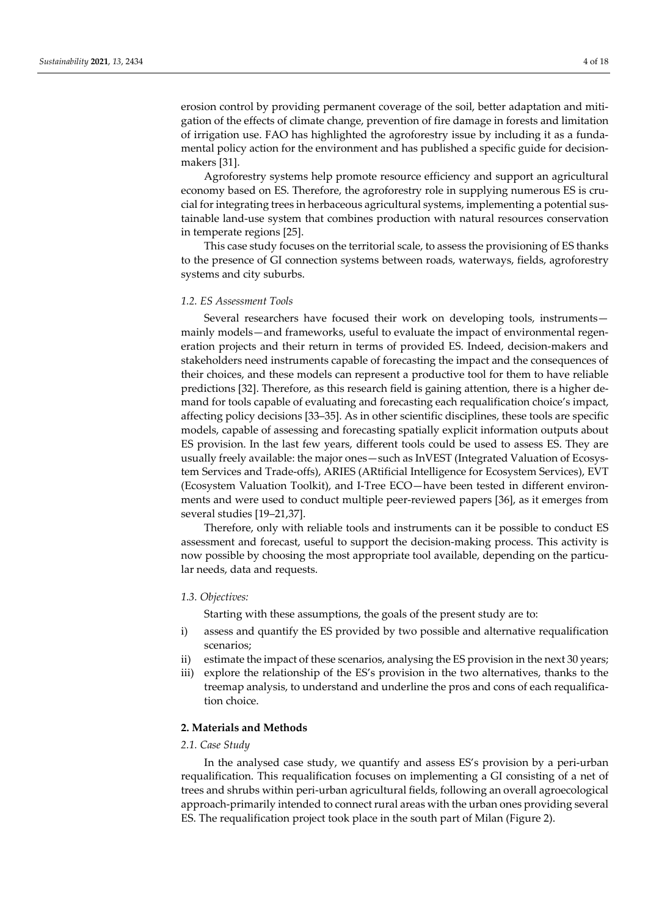erosion control by providing permanent coverage of the soil, better adaptation and mitigation of the effects of climate change, prevention of fire damage in forests and limitation of irrigation use. FAO has highlighted the agroforestry issue by including it as a fundamental policy action for the environment and has published a specific guide for decisionmakers [31].

Agroforestry systems help promote resource efficiency and support an agricultural economy based on ES. Therefore, the agroforestry role in supplying numerous ES is crucial for integrating trees in herbaceous agricultural systems, implementing a potential sustainable land-use system that combines production with natural resources conservation in temperate regions [25].

This case study focuses on the territorial scale, to assess the provisioning of ES thanks to the presence of GI connection systems between roads, waterways, fields, agroforestry systems and city suburbs.

## *1.2. ES Assessment Tools*

Several researchers have focused their work on developing tools, instruments mainly models—and frameworks, useful to evaluate the impact of environmental regeneration projects and their return in terms of provided ES. Indeed, decision-makers and stakeholders need instruments capable of forecasting the impact and the consequences of their choices, and these models can represent a productive tool for them to have reliable predictions [32]. Therefore, as this research field is gaining attention, there is a higher demand for tools capable of evaluating and forecasting each requalification choice's impact, affecting policy decisions [33–35]. As in other scientific disciplines, these tools are specific models, capable of assessing and forecasting spatially explicit information outputs about ES provision. In the last few years, different tools could be used to assess ES. They are usually freely available: the major ones—such as InVEST (Integrated Valuation of Ecosystem Services and Trade-offs), ARIES (ARtificial Intelligence for Ecosystem Services), EVT (Ecosystem Valuation Toolkit), and I-Tree ECO—have been tested in different environments and were used to conduct multiple peer-reviewed papers [36], as it emerges from several studies [19–21,37].

Therefore, only with reliable tools and instruments can it be possible to conduct ES assessment and forecast, useful to support the decision-making process. This activity is now possible by choosing the most appropriate tool available, depending on the particular needs, data and requests.

## *1.3. Objectives:*

Starting with these assumptions, the goals of the present study are to:

- i) assess and quantify the ES provided by two possible and alternative requalification scenarios;
- ii) estimate the impact of these scenarios, analysing the ES provision in the next 30 years;
- iii) explore the relationship of the ES's provision in the two alternatives, thanks to the treemap analysis, to understand and underline the pros and cons of each requalification choice.

# **2. Materials and Methods**

## *2.1. Case Study*

In the analysed case study, we quantify and assess ES's provision by a peri-urban requalification. This requalification focuses on implementing a GI consisting of a net of trees and shrubs within peri-urban agricultural fields, following an overall agroecological approach-primarily intended to connect rural areas with the urban ones providing several ES. The requalification project took place in the south part of Milan (Figure 2).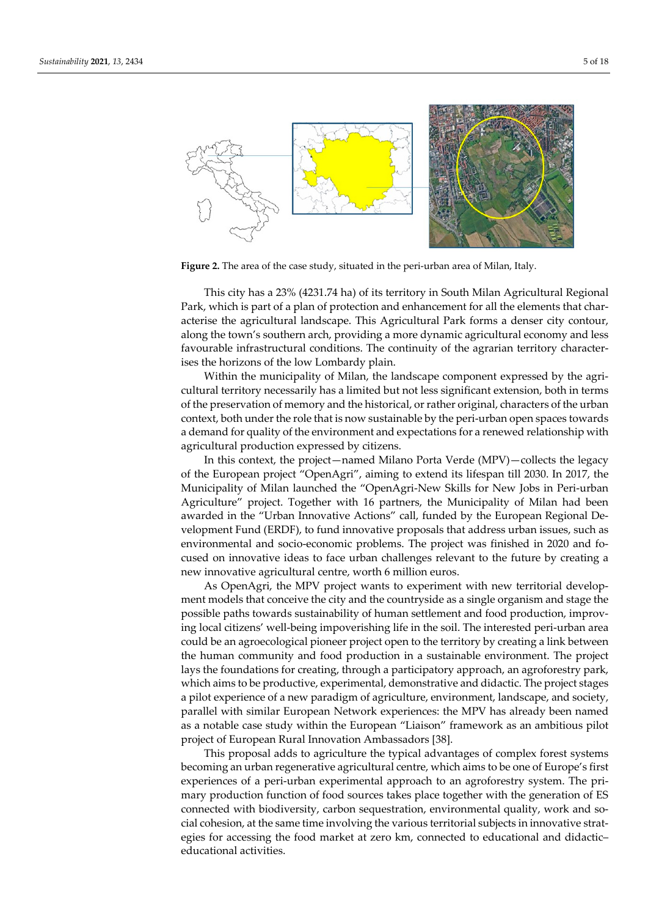

**Figure 2.** The area of the case study, situated in the peri-urban area of Milan, Italy.

This city has a 23% (4231.74 ha) of its territory in South Milan Agricultural Regional Park, which is part of a plan of protection and enhancement for all the elements that characterise the agricultural landscape. This Agricultural Park forms a denser city contour, along the town's southern arch, providing a more dynamic agricultural economy and less favourable infrastructural conditions. The continuity of the agrarian territory characterises the horizons of the low Lombardy plain.

Within the municipality of Milan, the landscape component expressed by the agricultural territory necessarily has a limited but not less significant extension, both in terms of the preservation of memory and the historical, or rather original, characters of the urban context, both under the role that is now sustainable by the peri-urban open spaces towards a demand for quality of the environment and expectations for a renewed relationship with agricultural production expressed by citizens.

In this context, the project—named Milano Porta Verde (MPV)—collects the legacy of the European project "OpenAgri", aiming to extend its lifespan till 2030. In 2017, the Municipality of Milan launched the "OpenAgri-New Skills for New Jobs in Peri-urban Agriculture" project. Together with 16 partners, the Municipality of Milan had been awarded in the "Urban Innovative Actions" call, funded by the European Regional Development Fund (ERDF), to fund innovative proposals that address urban issues, such as environmental and socio-economic problems. The project was finished in 2020 and focused on innovative ideas to face urban challenges relevant to the future by creating a new innovative agricultural centre, worth 6 million euros.

As OpenAgri, the MPV project wants to experiment with new territorial development models that conceive the city and the countryside as a single organism and stage the possible paths towards sustainability of human settlement and food production, improving local citizens' well-being impoverishing life in the soil. The interested peri-urban area could be an agroecological pioneer project open to the territory by creating a link between the human community and food production in a sustainable environment. The project lays the foundations for creating, through a participatory approach, an agroforestry park, which aims to be productive, experimental, demonstrative and didactic. The project stages a pilot experience of a new paradigm of agriculture, environment, landscape, and society, parallel with similar European Network experiences: the MPV has already been named as a notable case study within the European "Liaison" framework as an ambitious pilot project of European Rural Innovation Ambassadors [38].

This proposal adds to agriculture the typical advantages of complex forest systems becoming an urban regenerative agricultural centre, which aims to be one of Europe's first experiences of a peri-urban experimental approach to an agroforestry system. The primary production function of food sources takes place together with the generation of ES connected with biodiversity, carbon sequestration, environmental quality, work and social cohesion, at the same time involving the various territorial subjects in innovative strategies for accessing the food market at zero km, connected to educational and didactic– educational activities.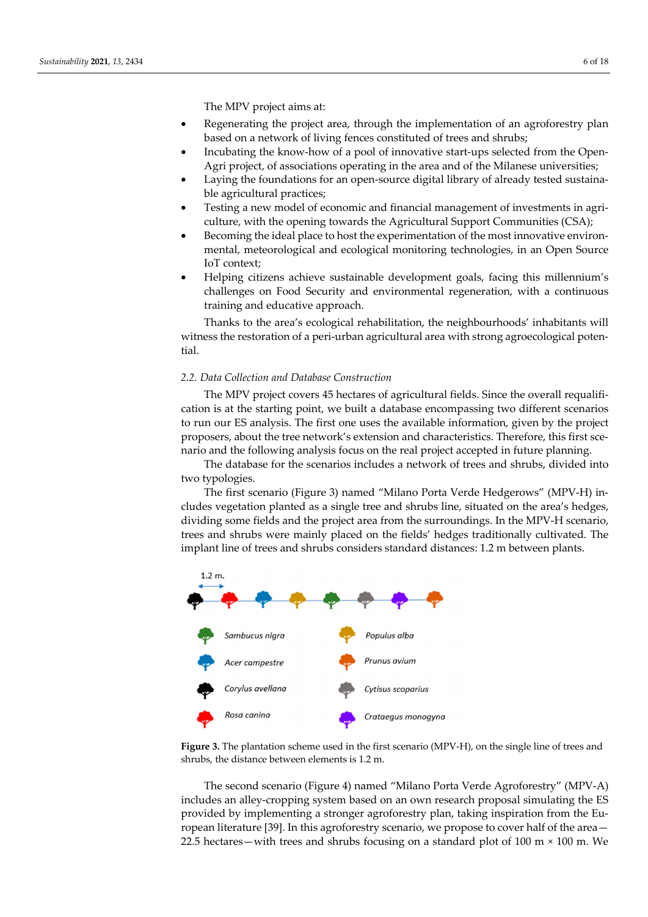- Regenerating the project area, through the implementation of an agroforestry plan based on a network of living fences constituted of trees and shrubs;
- Incubating the know-how of a pool of innovative start-ups selected from the Open-Agri project, of associations operating in the area and of the Milanese universities;
- Laying the foundations for an open-source digital library of already tested sustainable agricultural practices;
- Testing a new model of economic and financial management of investments in agriculture, with the opening towards the Agricultural Support Communities (CSA);
- Becoming the ideal place to host the experimentation of the most innovative environmental, meteorological and ecological monitoring technologies, in an Open Source IoT context;
- Helping citizens achieve sustainable development goals, facing this millennium's challenges on Food Security and environmental regeneration, with a continuous training and educative approach.

Thanks to the area's ecological rehabilitation, the neighbourhoods' inhabitants will witness the restoration of a peri-urban agricultural area with strong agroecological potential.

# *2.2. Data Collection and Database Construction*

The MPV project covers 45 hectares of agricultural fields. Since the overall requalification is at the starting point, we built a database encompassing two different scenarios to run our ES analysis. The first one uses the available information, given by the project proposers, about the tree network's extension and characteristics. Therefore, this first scenario and the following analysis focus on the real project accepted in future planning.

The database for the scenarios includes a network of trees and shrubs, divided into two typologies.

The first scenario (Figure 3) named "Milano Porta Verde Hedgerows" (MPV-H) includes vegetation planted as a single tree and shrubs line, situated on the area's hedges, dividing some fields and the project area from the surroundings. In the MPV-H scenario, trees and shrubs were mainly placed on the fields' hedges traditionally cultivated. The implant line of trees and shrubs considers standard distances: 1.2 m between plants.



**Figure 3.** The plantation scheme used in the first scenario (MPV-H), on the single line of trees and shrubs, the distance between elements is 1.2 m.

The second scenario (Figure 4) named "Milano Porta Verde Agroforestry" (MPV-A) includes an alley-cropping system based on an own research proposal simulating the ES provided by implementing a stronger agroforestry plan, taking inspiration from the European literature [39]. In this agroforestry scenario, we propose to cover half of the area— 22.5 hectares—with trees and shrubs focusing on a standard plot of  $100 \text{ m} \times 100 \text{ m}$ . We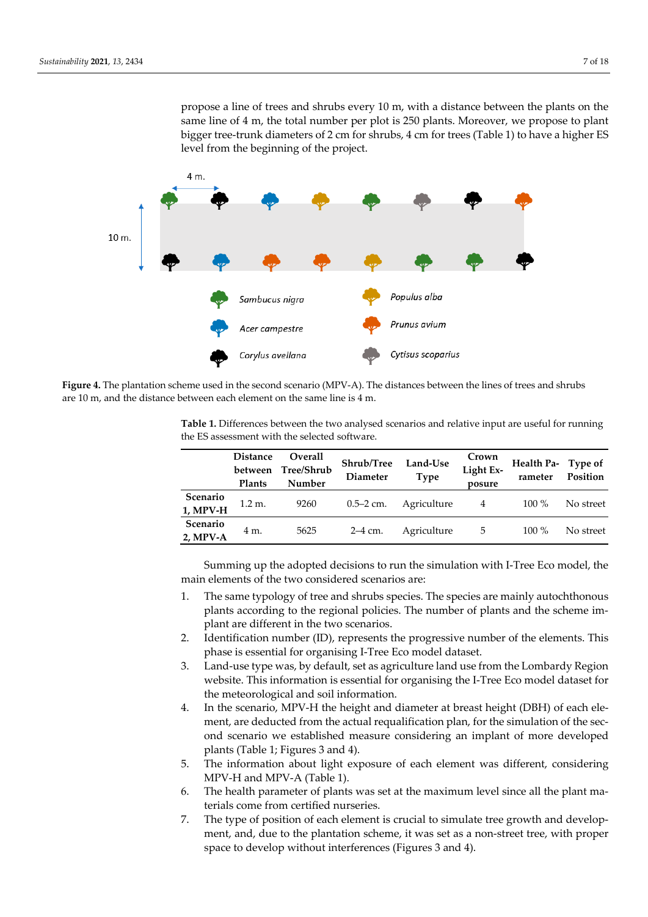

**Figure 4.** The plantation scheme used in the second scenario (MPV-A). The distances between the lines of trees and shrubs are 10 m, and the distance between each element on the same line is 4 m.

**Table 1.** Differences between the two analysed scenarios and relative input are useful for running the ES assessment with the selected software.

|                         | <b>Distance</b><br><b>Plants</b> | Overall<br>between Tree/Shrub<br>Number | Shrub/Tree<br>Diameter | Land-Use<br><b>Type</b> | Crown<br>Light Ex-<br>posure | Health Pa- Type of<br>rameter | Position  |
|-------------------------|----------------------------------|-----------------------------------------|------------------------|-------------------------|------------------------------|-------------------------------|-----------|
| Scenario<br>1, MPV-H    | $1.2 \text{ m}$ .                | 9260                                    | $0.5 - 2$ cm.          | Agriculture             | 4                            | $100\%$                       | No street |
| Scenario<br>$2$ , MPV-A | 4 m.                             | 5625                                    | $2-4$ cm.              | Agriculture             | 5                            | $100\%$                       | No street |

Summing up the adopted decisions to run the simulation with I-Tree Eco model, the main elements of the two considered scenarios are:

- 1. The same typology of tree and shrubs species. The species are mainly autochthonous plants according to the regional policies. The number of plants and the scheme implant are different in the two scenarios.
- 2. Identification number (ID), represents the progressive number of the elements. This phase is essential for organising I-Tree Eco model dataset.
- 3. Land-use type was, by default, set as agriculture land use from the Lombardy Region website. This information is essential for organising the I-Tree Eco model dataset for the meteorological and soil information.
- 4. In the scenario, MPV-H the height and diameter at breast height (DBH) of each element, are deducted from the actual requalification plan, for the simulation of the second scenario we established measure considering an implant of more developed plants (Table 1; Figures 3 and 4).
- 5. The information about light exposure of each element was different, considering MPV-H and MPV-A (Table 1).
- 6. The health parameter of plants was set at the maximum level since all the plant materials come from certified nurseries.
- 7. The type of position of each element is crucial to simulate tree growth and development, and, due to the plantation scheme, it was set as a non-street tree, with proper space to develop without interferences (Figures 3 and 4).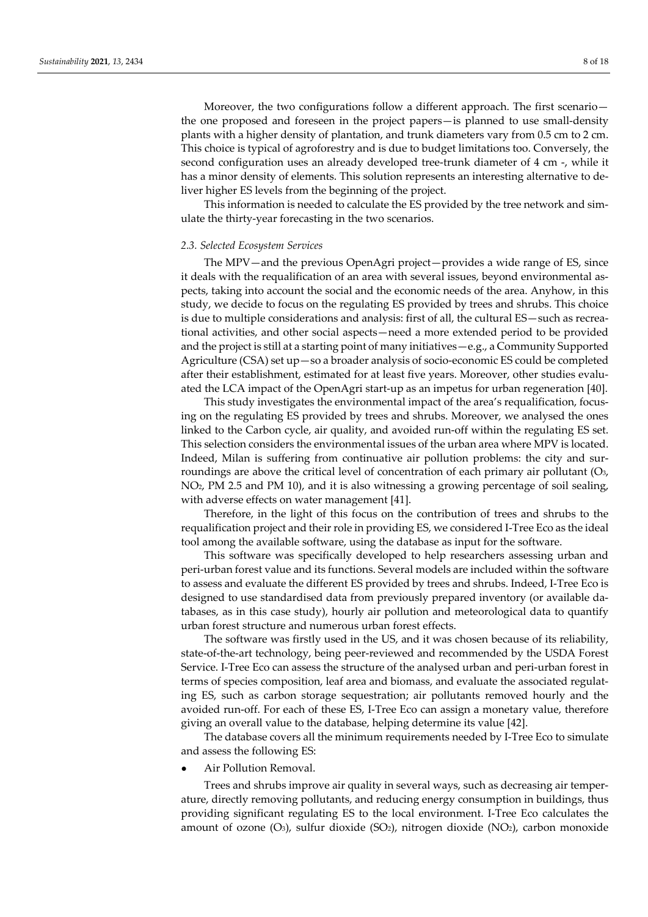Moreover, the two configurations follow a different approach. The first scenario the one proposed and foreseen in the project papers—is planned to use small-density plants with a higher density of plantation, and trunk diameters vary from 0.5 cm to 2 cm. This choice is typical of agroforestry and is due to budget limitations too. Conversely, the second configuration uses an already developed tree-trunk diameter of 4 cm -, while it has a minor density of elements. This solution represents an interesting alternative to deliver higher ES levels from the beginning of the project.

This information is needed to calculate the ES provided by the tree network and simulate the thirty-year forecasting in the two scenarios.

#### *2.3. Selected Ecosystem Services*

The MPV—and the previous OpenAgri project—provides a wide range of ES, since it deals with the requalification of an area with several issues, beyond environmental aspects, taking into account the social and the economic needs of the area. Anyhow, in this study, we decide to focus on the regulating ES provided by trees and shrubs. This choice is due to multiple considerations and analysis: first of all, the cultural ES—such as recreational activities, and other social aspects—need a more extended period to be provided and the project is still at a starting point of many initiatives—e.g., a Community Supported Agriculture (CSA) set up—so a broader analysis of socio-economic ES could be completed after their establishment, estimated for at least five years. Moreover, other studies evaluated the LCA impact of the OpenAgri start-up as an impetus for urban regeneration [40].

This study investigates the environmental impact of the area's requalification, focusing on the regulating ES provided by trees and shrubs. Moreover, we analysed the ones linked to the Carbon cycle, air quality, and avoided run-off within the regulating ES set. This selection considers the environmental issues of the urban area where MPV is located. Indeed, Milan is suffering from continuative air pollution problems: the city and surroundings are above the critical level of concentration of each primary air pollutant (O3, NO2, PM 2.5 and PM 10), and it is also witnessing a growing percentage of soil sealing, with adverse effects on water management [41].

Therefore, in the light of this focus on the contribution of trees and shrubs to the requalification project and their role in providing ES, we considered I-Tree Eco as the ideal tool among the available software, using the database as input for the software.

This software was specifically developed to help researchers assessing urban and peri-urban forest value and its functions. Several models are included within the software to assess and evaluate the different ES provided by trees and shrubs. Indeed, I-Tree Eco is designed to use standardised data from previously prepared inventory (or available databases, as in this case study), hourly air pollution and meteorological data to quantify urban forest structure and numerous urban forest effects.

The software was firstly used in the US, and it was chosen because of its reliability, state-of-the-art technology, being peer-reviewed and recommended by the USDA Forest Service. I-Tree Eco can assess the structure of the analysed urban and peri-urban forest in terms of species composition, leaf area and biomass, and evaluate the associated regulating ES, such as carbon storage sequestration; air pollutants removed hourly and the avoided run-off. For each of these ES, I-Tree Eco can assign a monetary value, therefore giving an overall value to the database, helping determine its value [42].

The database covers all the minimum requirements needed by I-Tree Eco to simulate and assess the following ES:

Air Pollution Removal.

Trees and shrubs improve air quality in several ways, such as decreasing air temperature, directly removing pollutants, and reducing energy consumption in buildings, thus providing significant regulating ES to the local environment. I-Tree Eco calculates the amount of ozone  $(O_3)$ , sulfur dioxide  $(SO_2)$ , nitrogen dioxide  $(NO_2)$ , carbon monoxide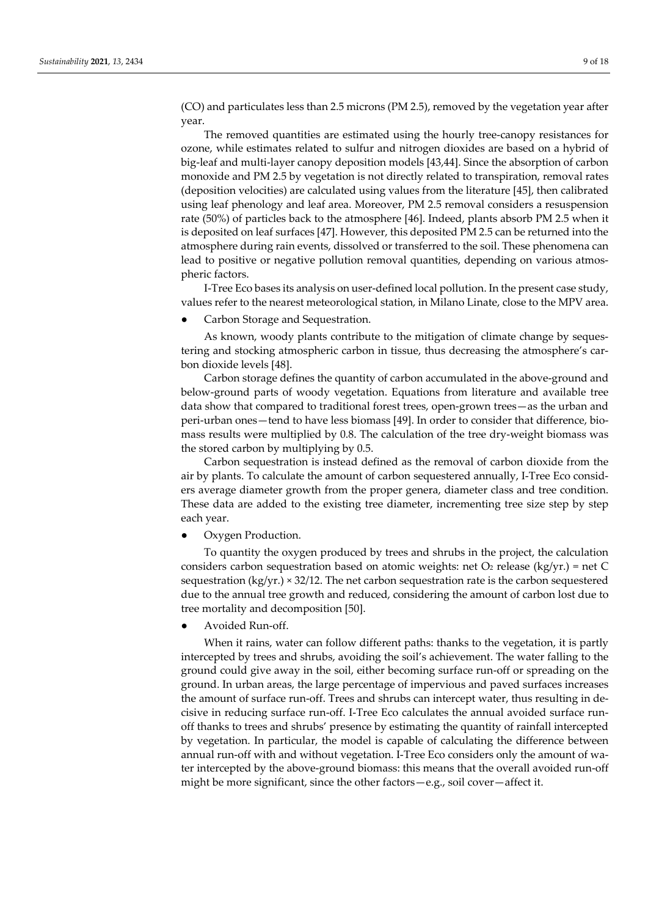(CO) and particulates less than 2.5 microns (PM 2.5), removed by the vegetation year after year.

The removed quantities are estimated using the hourly tree-canopy resistances for ozone, while estimates related to sulfur and nitrogen dioxides are based on a hybrid of big-leaf and multi-layer canopy deposition models [43,44]. Since the absorption of carbon monoxide and PM 2.5 by vegetation is not directly related to transpiration, removal rates (deposition velocities) are calculated using values from the literature [45], then calibrated using leaf phenology and leaf area. Moreover, PM 2.5 removal considers a resuspension rate (50%) of particles back to the atmosphere [46]. Indeed, plants absorb PM 2.5 when it is deposited on leaf surfaces [47]. However, this deposited PM 2.5 can be returned into the atmosphere during rain events, dissolved or transferred to the soil. These phenomena can lead to positive or negative pollution removal quantities, depending on various atmospheric factors.

I-Tree Eco bases its analysis on user-defined local pollution. In the present case study, values refer to the nearest meteorological station, in Milano Linate, close to the MPV area.

Carbon Storage and Sequestration.

As known, woody plants contribute to the mitigation of climate change by sequestering and stocking atmospheric carbon in tissue, thus decreasing the atmosphere's carbon dioxide levels [48].

Carbon storage defines the quantity of carbon accumulated in the above-ground and below-ground parts of woody vegetation. Equations from literature and available tree data show that compared to traditional forest trees, open-grown trees—as the urban and peri-urban ones—tend to have less biomass [49]. In order to consider that difference, biomass results were multiplied by 0.8. The calculation of the tree dry-weight biomass was the stored carbon by multiplying by 0.5.

Carbon sequestration is instead defined as the removal of carbon dioxide from the air by plants. To calculate the amount of carbon sequestered annually, I-Tree Eco considers average diameter growth from the proper genera, diameter class and tree condition. These data are added to the existing tree diameter, incrementing tree size step by step each year.

Oxygen Production.

To quantity the oxygen produced by trees and shrubs in the project, the calculation considers carbon sequestration based on atomic weights: net  $O_2$  release (kg/yr.) = net C sequestration (kg/yr.) × 32/12. The net carbon sequestration rate is the carbon sequestered due to the annual tree growth and reduced, considering the amount of carbon lost due to tree mortality and decomposition [50].

Avoided Run-off.

When it rains, water can follow different paths: thanks to the vegetation, it is partly intercepted by trees and shrubs, avoiding the soil's achievement. The water falling to the ground could give away in the soil, either becoming surface run-off or spreading on the ground. In urban areas, the large percentage of impervious and paved surfaces increases the amount of surface run-off. Trees and shrubs can intercept water, thus resulting in decisive in reducing surface run-off. I-Tree Eco calculates the annual avoided surface runoff thanks to trees and shrubs' presence by estimating the quantity of rainfall intercepted by vegetation. In particular, the model is capable of calculating the difference between annual run-off with and without vegetation. I-Tree Eco considers only the amount of water intercepted by the above-ground biomass: this means that the overall avoided run-off might be more significant, since the other factors—e.g., soil cover—affect it.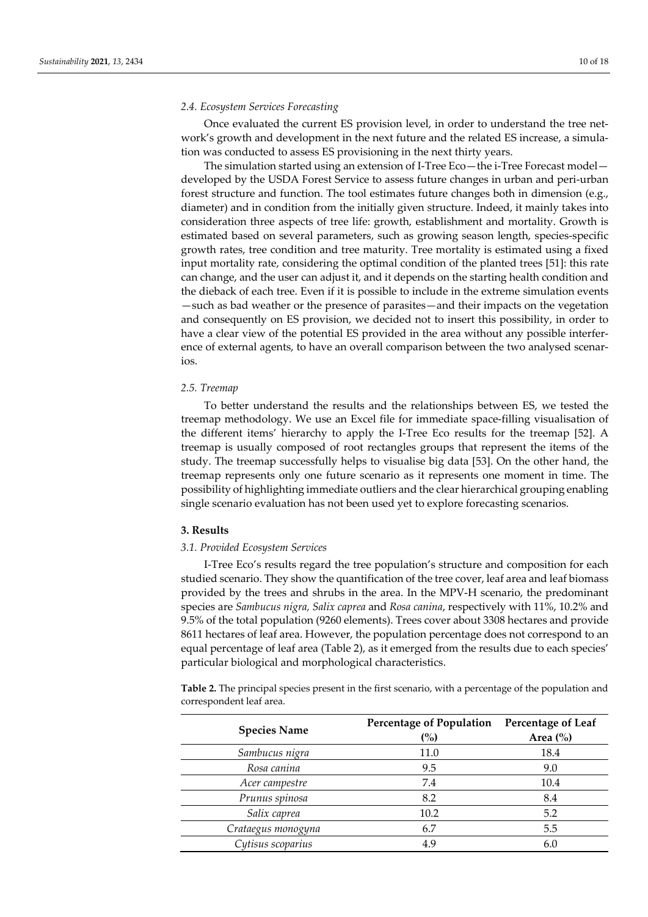#### *2.4. Ecosystem Services Forecasting*

Once evaluated the current ES provision level, in order to understand the tree network's growth and development in the next future and the related ES increase, a simulation was conducted to assess ES provisioning in the next thirty years.

The simulation started using an extension of I-Tree Eco—the i-Tree Forecast model developed by the USDA Forest Service to assess future changes in urban and peri-urban forest structure and function. The tool estimates future changes both in dimension (e.g., diameter) and in condition from the initially given structure. Indeed, it mainly takes into consideration three aspects of tree life: growth, establishment and mortality. Growth is estimated based on several parameters, such as growing season length, species-specific growth rates, tree condition and tree maturity. Tree mortality is estimated using a fixed input mortality rate, considering the optimal condition of the planted trees [51]: this rate can change, and the user can adjust it, and it depends on the starting health condition and the dieback of each tree. Even if it is possible to include in the extreme simulation events —such as bad weather or the presence of parasites—and their impacts on the vegetation and consequently on ES provision, we decided not to insert this possibility, in order to have a clear view of the potential ES provided in the area without any possible interference of external agents, to have an overall comparison between the two analysed scenarios.

## *2.5. Treemap*

To better understand the results and the relationships between ES, we tested the treemap methodology. We use an Excel file for immediate space-filling visualisation of the different items' hierarchy to apply the I-Tree Eco results for the treemap [52]. A treemap is usually composed of root rectangles groups that represent the items of the study. The treemap successfully helps to visualise big data [53]. On the other hand, the treemap represents only one future scenario as it represents one moment in time. The possibility of highlighting immediate outliers and the clear hierarchical grouping enabling single scenario evaluation has not been used yet to explore forecasting scenarios.

#### **3. Results**

## *3.1. Provided Ecosystem Services*

I-Tree Eco's results regard the tree population's structure and composition for each studied scenario. They show the quantification of the tree cover, leaf area and leaf biomass provided by the trees and shrubs in the area. In the MPV-H scenario, the predominant species are *Sambucus nigra, Salix caprea* and *Rosa canina*, respectively with 11%, 10.2% and 9.5% of the total population (9260 elements). Trees cover about 3308 hectares and provide 8611 hectares of leaf area. However, the population percentage does not correspond to an equal percentage of leaf area (Table 2), as it emerged from the results due to each species' particular biological and morphological characteristics.

**Table 2.** The principal species present in the first scenario, with a percentage of the population and correspondent leaf area.

| <b>Species Name</b> | <b>Percentage of Population</b><br>(%) | Percentage of Leaf<br>Area $(\% )$ |  |
|---------------------|----------------------------------------|------------------------------------|--|
| Sambucus nigra      | 11.0                                   | 18.4                               |  |
| Rosa canina         | 9.5                                    | 9.0                                |  |
| Acer campestre      | 7.4                                    | 10.4                               |  |
| Prunus spinosa      | 8.2                                    | 8.4                                |  |
| Salix caprea        | 10.2                                   | 5.2                                |  |
| Crataegus monogyna  | 6.7                                    | 5.5                                |  |
| Cytisus scoparius   | 4.9                                    | 6.0                                |  |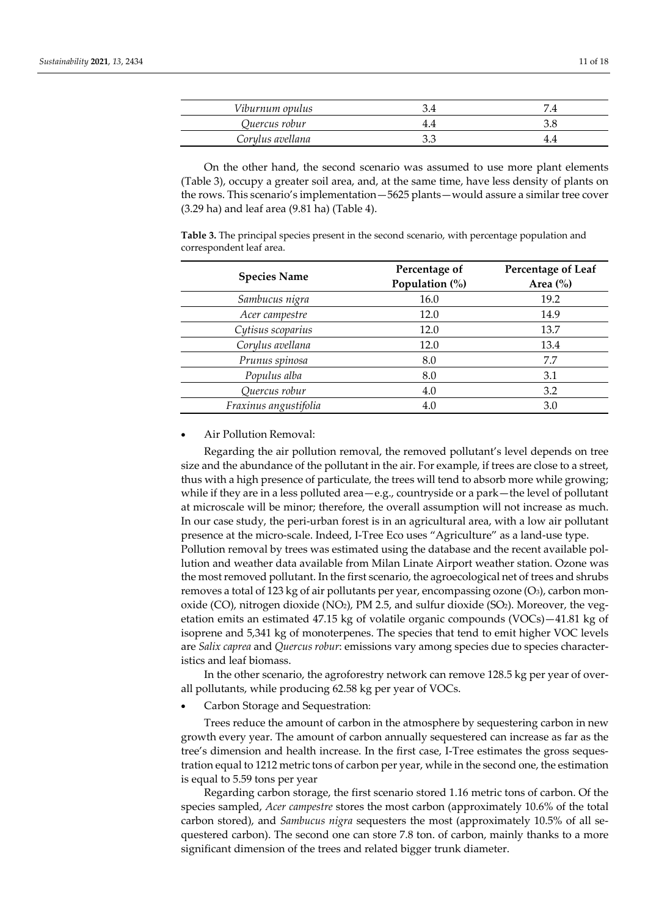| Viburnum opulus  |    |
|------------------|----|
| Quercus robur    |    |
| Corylus avellana | 44 |

On the other hand, the second scenario was assumed to use more plant elements (Table 3), occupy a greater soil area, and, at the same time, have less density of plants on the rows. This scenario's implementation—5625 plants—would assure a similar tree cover (3.29 ha) and leaf area (9.81 ha) (Table 4).

**Table 3.** The principal species present in the second scenario, with percentage population and correspondent leaf area.

| <b>Species Name</b>   | Percentage of<br>Population (%) | Percentage of Leaf<br>Area $\left(\% \right)$ |  |  |
|-----------------------|---------------------------------|-----------------------------------------------|--|--|
| Sambucus nigra        | 16.0                            | 19.2                                          |  |  |
| Acer campestre        | 12.0                            | 14.9                                          |  |  |
| Cytisus scoparius     | 12.0                            | 13.7                                          |  |  |
| Corylus avellana      | 12.0                            | 13.4                                          |  |  |
| Prunus spinosa        | 8.0                             | 7.7                                           |  |  |
| Populus alba          | 8.0                             | 3.1                                           |  |  |
| Quercus robur         | 4.0                             | 3.2                                           |  |  |
| Fraxinus angustifolia | 4.0                             | 3.0                                           |  |  |

• Air Pollution Removal:

Regarding the air pollution removal, the removed pollutant's level depends on tree size and the abundance of the pollutant in the air. For example, if trees are close to a street, thus with a high presence of particulate, the trees will tend to absorb more while growing; while if they are in a less polluted area—e.g., countryside or a park—the level of pollutant at microscale will be minor; therefore, the overall assumption will not increase as much. In our case study, the peri-urban forest is in an agricultural area, with a low air pollutant presence at the micro-scale. Indeed, I-Tree Eco uses "Agriculture" as a land-use type. Pollution removal by trees was estimated using the database and the recent available pollution and weather data available from Milan Linate Airport weather station. Ozone was the most removed pollutant. In the first scenario, the agroecological net of trees and shrubs removes a total of 123 kg of air pollutants per year, encompassing ozone (O3), carbon monoxide (CO), nitrogen dioxide (NO<sub>2</sub>), PM 2.5, and sulfur dioxide (SO<sub>2</sub>). Moreover, the vegetation emits an estimated 47.15 kg of volatile organic compounds (VOCs)—41.81 kg of isoprene and 5,341 kg of monoterpenes. The species that tend to emit higher VOC levels are *Salix caprea* and *Quercus robur*: emissions vary among species due to species characteristics and leaf biomass.

In the other scenario, the agroforestry network can remove 128.5 kg per year of overall pollutants, while producing 62.58 kg per year of VOCs.

• Carbon Storage and Sequestration:

Trees reduce the amount of carbon in the atmosphere by sequestering carbon in new growth every year. The amount of carbon annually sequestered can increase as far as the tree's dimension and health increase. In the first case, I-Tree estimates the gross sequestration equal to 1212 metric tons of carbon per year, while in the second one, the estimation is equal to 5.59 tons per year

Regarding carbon storage, the first scenario stored 1.16 metric tons of carbon. Of the species sampled, *Acer campestre* stores the most carbon (approximately 10.6% of the total carbon stored), and *Sambucus nigra* sequesters the most (approximately 10.5% of all sequestered carbon). The second one can store 7.8 ton. of carbon, mainly thanks to a more significant dimension of the trees and related bigger trunk diameter.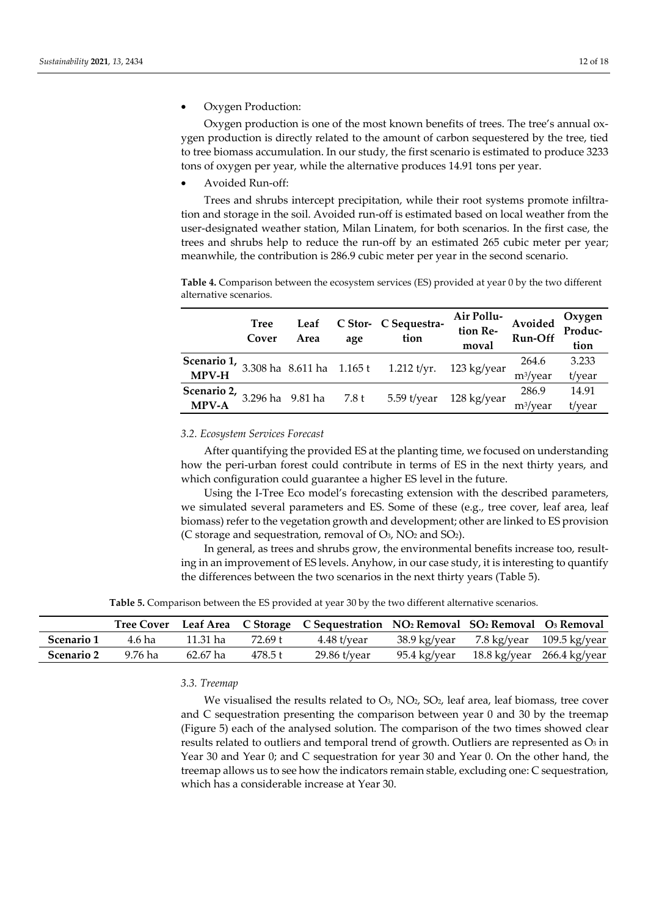• Oxygen Production:

Oxygen production is one of the most known benefits of trees. The tree's annual oxygen production is directly related to the amount of carbon sequestered by the tree, tied to tree biomass accumulation. In our study, the first scenario is estimated to produce 3233 tons of oxygen per year, while the alternative produces 14.91 tons per year.

• Avoided Run-off:

Trees and shrubs intercept precipitation, while their root systems promote infiltration and storage in the soil. Avoided run-off is estimated based on local weather from the user-designated weather station, Milan Linatem, for both scenarios. In the first case, the trees and shrubs help to reduce the run-off by an estimated 265 cubic meter per year; meanwhile, the contribution is 286.9 cubic meter per year in the second scenario.

**Table 4.** Comparison between the ecosystem services (ES) provided at year 0 by the two different alternative scenarios.

| <b>Tree</b><br>Cover | Leaf<br>Area | age | C Stor- C Sequestra-<br>tion                                               | Air Pollu-<br>Avoided<br>tion Re-<br>moval | Run-Off              | Oxygen<br>Produc-<br>tion |
|----------------------|--------------|-----|----------------------------------------------------------------------------|--------------------------------------------|----------------------|---------------------------|
|                      |              |     | <b>Scenario 1, 3.308 ha</b> 8.611 ha 1.165 t 1.212 t/yr. 123 kg/year MPV-H |                                            | 264.6                | 3.233                     |
|                      |              |     |                                                                            |                                            | m <sup>3</sup> /year | t/year                    |
|                      |              |     | <b>Scenario 2,</b> 3.296 ha 9.81 ha 7.8 t 5.59 t/year 128 kg/year MPV-A    |                                            | 286.9                | 14.91                     |
|                      |              |     |                                                                            |                                            | $m^3$ /year          | t/year                    |

#### *3.2. Ecosystem Services Forecast*

After quantifying the provided ES at the planting time, we focused on understanding how the peri-urban forest could contribute in terms of ES in the next thirty years, and which configuration could guarantee a higher ES level in the future.

Using the I-Tree Eco model's forecasting extension with the described parameters, we simulated several parameters and ES. Some of these (e.g., tree cover, leaf area, leaf biomass) refer to the vegetation growth and development; other are linked to ES provision (C storage and sequestration, removal of  $O_3$ , NO<sub>2</sub> and SO<sub>2</sub>).

In general, as trees and shrubs grow, the environmental benefits increase too, resulting in an improvement of ES levels. Anyhow, in our case study, it is interesting to quantify the differences between the two scenarios in the next thirty years (Table 5).

**Table 5.** Comparison between the ES provided at year 30 by the two different alternative scenarios.

|                   |         |          |         | Tree Cover Leaf Area C Storage C Sequestration NO <sub>2</sub> Removal SO <sub>2</sub> Removal O <sub>3</sub> Removal |                                         |  |
|-------------------|---------|----------|---------|-----------------------------------------------------------------------------------------------------------------------|-----------------------------------------|--|
| <b>Scenario 1</b> | 4.6 ha  | 11.31 ha | 72.69 t | 4.48 t/year                                                                                                           | 38.9 kg/year 7.8 kg/year 109.5 kg/year  |  |
| <b>Scenario 2</b> | 9.76 ha | 62.67 ha | 478.5 t | $29.86$ t/year                                                                                                        | 95.4 kg/year 18.8 kg/year 266.4 kg/year |  |

*3.3. Treemap* 

We visualised the results related to  $O_3$ , NO<sub>2</sub>, SO<sub>2</sub>, leaf area, leaf biomass, tree cover and C sequestration presenting the comparison between year 0 and 30 by the treemap (Figure 5) each of the analysed solution. The comparison of the two times showed clear results related to outliers and temporal trend of growth. Outliers are represented as O3 in Year 30 and Year 0; and C sequestration for year 30 and Year 0. On the other hand, the treemap allows us to see how the indicators remain stable, excluding one: C sequestration, which has a considerable increase at Year 30.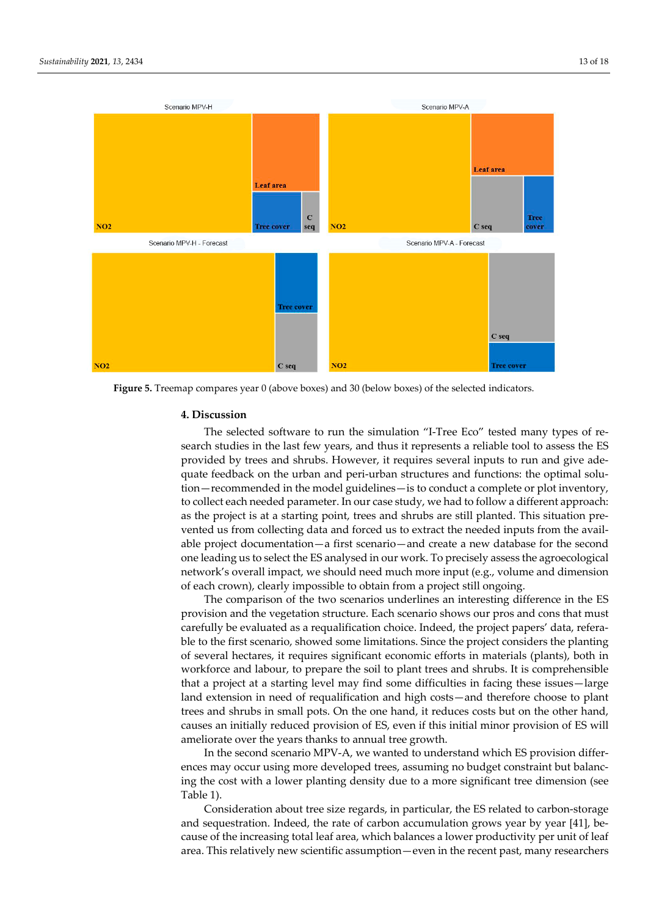

**Figure 5.** Treemap compares year 0 (above boxes) and 30 (below boxes) of the selected indicators.

## **4. Discussion**

The selected software to run the simulation "I-Tree Eco" tested many types of research studies in the last few years, and thus it represents a reliable tool to assess the ES provided by trees and shrubs. However, it requires several inputs to run and give adequate feedback on the urban and peri-urban structures and functions: the optimal solution—recommended in the model guidelines—is to conduct a complete or plot inventory, to collect each needed parameter. In our case study, we had to follow a different approach: as the project is at a starting point, trees and shrubs are still planted. This situation prevented us from collecting data and forced us to extract the needed inputs from the available project documentation—a first scenario—and create a new database for the second one leading us to select the ES analysed in our work. To precisely assess the agroecological network's overall impact, we should need much more input (e.g., volume and dimension of each crown), clearly impossible to obtain from a project still ongoing.

The comparison of the two scenarios underlines an interesting difference in the ES provision and the vegetation structure. Each scenario shows our pros and cons that must carefully be evaluated as a requalification choice. Indeed, the project papers' data, referable to the first scenario, showed some limitations. Since the project considers the planting of several hectares, it requires significant economic efforts in materials (plants), both in workforce and labour, to prepare the soil to plant trees and shrubs. It is comprehensible that a project at a starting level may find some difficulties in facing these issues—large land extension in need of requalification and high costs—and therefore choose to plant trees and shrubs in small pots. On the one hand, it reduces costs but on the other hand, causes an initially reduced provision of ES, even if this initial minor provision of ES will ameliorate over the years thanks to annual tree growth.

In the second scenario MPV-A, we wanted to understand which ES provision differences may occur using more developed trees, assuming no budget constraint but balancing the cost with a lower planting density due to a more significant tree dimension (see Table 1).

Consideration about tree size regards, in particular, the ES related to carbon-storage and sequestration. Indeed, the rate of carbon accumulation grows year by year [41], because of the increasing total leaf area, which balances a lower productivity per unit of leaf area. This relatively new scientific assumption—even in the recent past, many researchers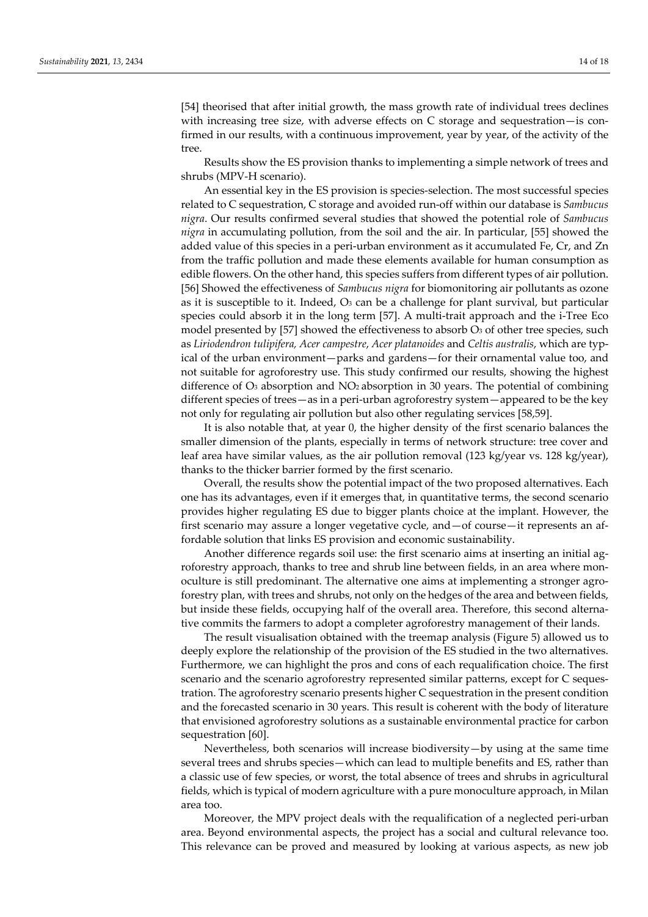[54] theorised that after initial growth, the mass growth rate of individual trees declines with increasing tree size, with adverse effects on C storage and sequestration—is confirmed in our results, with a continuous improvement, year by year, of the activity of the tree.

Results show the ES provision thanks to implementing a simple network of trees and shrubs (MPV-H scenario).

An essential key in the ES provision is species-selection. The most successful species related to C sequestration, C storage and avoided run-off within our database is *Sambucus nigra*. Our results confirmed several studies that showed the potential role of *Sambucus nigra* in accumulating pollution, from the soil and the air. In particular, [55] showed the added value of this species in a peri-urban environment as it accumulated Fe, Cr, and Zn from the traffic pollution and made these elements available for human consumption as edible flowers. On the other hand, this species suffers from different types of air pollution. [56] Showed the effectiveness of *Sambucus nigra* for biomonitoring air pollutants as ozone as it is susceptible to it. Indeed,  $O_3$  can be a challenge for plant survival, but particular species could absorb it in the long term [57]. A multi-trait approach and the i-Tree Eco model presented by [57] showed the effectiveness to absorb  $\mathrm{O}_3$  of other tree species, such as *Liriodendron tulipifera, Acer campestre*, *Acer platanoides* and *Celtis australis*, which are typical of the urban environment—parks and gardens—for their ornamental value too, and not suitable for agroforestry use. This study confirmed our results, showing the highest difference of O3 absorption and NO2 absorption in 30 years. The potential of combining different species of trees—as in a peri-urban agroforestry system—appeared to be the key not only for regulating air pollution but also other regulating services [58,59].

It is also notable that, at year 0, the higher density of the first scenario balances the smaller dimension of the plants, especially in terms of network structure: tree cover and leaf area have similar values, as the air pollution removal (123 kg/year vs. 128 kg/year), thanks to the thicker barrier formed by the first scenario.

Overall, the results show the potential impact of the two proposed alternatives. Each one has its advantages, even if it emerges that, in quantitative terms, the second scenario provides higher regulating ES due to bigger plants choice at the implant. However, the first scenario may assure a longer vegetative cycle, and—of course—it represents an affordable solution that links ES provision and economic sustainability.

Another difference regards soil use: the first scenario aims at inserting an initial agroforestry approach, thanks to tree and shrub line between fields, in an area where monoculture is still predominant. The alternative one aims at implementing a stronger agroforestry plan, with trees and shrubs, not only on the hedges of the area and between fields, but inside these fields, occupying half of the overall area. Therefore, this second alternative commits the farmers to adopt a completer agroforestry management of their lands.

The result visualisation obtained with the treemap analysis (Figure 5) allowed us to deeply explore the relationship of the provision of the ES studied in the two alternatives. Furthermore, we can highlight the pros and cons of each requalification choice. The first scenario and the scenario agroforestry represented similar patterns, except for C sequestration. The agroforestry scenario presents higher C sequestration in the present condition and the forecasted scenario in 30 years. This result is coherent with the body of literature that envisioned agroforestry solutions as a sustainable environmental practice for carbon sequestration [60].

Nevertheless, both scenarios will increase biodiversity—by using at the same time several trees and shrubs species—which can lead to multiple benefits and ES, rather than a classic use of few species, or worst, the total absence of trees and shrubs in agricultural fields, which is typical of modern agriculture with a pure monoculture approach, in Milan area too.

Moreover, the MPV project deals with the requalification of a neglected peri-urban area. Beyond environmental aspects, the project has a social and cultural relevance too. This relevance can be proved and measured by looking at various aspects, as new job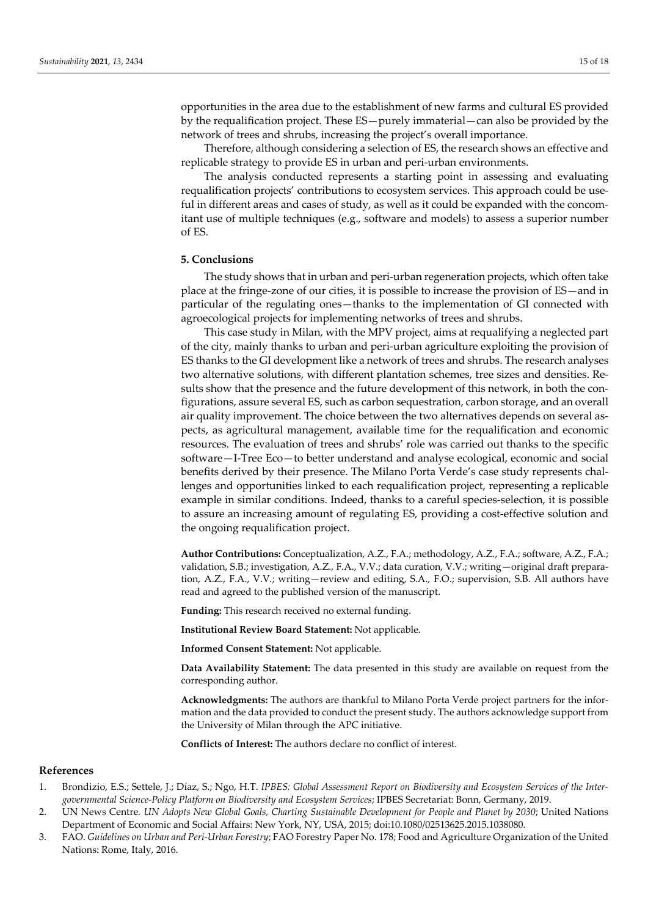opportunities in the area due to the establishment of new farms and cultural ES provided by the requalification project. These ES—purely immaterial—can also be provided by the network of trees and shrubs, increasing the project's overall importance.

Therefore, although considering a selection of ES, the research shows an effective and replicable strategy to provide ES in urban and peri-urban environments.

The analysis conducted represents a starting point in assessing and evaluating requalification projects' contributions to ecosystem services. This approach could be useful in different areas and cases of study, as well as it could be expanded with the concomitant use of multiple techniques (e.g., software and models) to assess a superior number of ES.

## **5. Conclusions**

The study shows that in urban and peri-urban regeneration projects, which often take place at the fringe-zone of our cities, it is possible to increase the provision of ES—and in particular of the regulating ones—thanks to the implementation of GI connected with agroecological projects for implementing networks of trees and shrubs.

This case study in Milan, with the MPV project, aims at requalifying a neglected part of the city, mainly thanks to urban and peri-urban agriculture exploiting the provision of ES thanks to the GI development like a network of trees and shrubs. The research analyses two alternative solutions, with different plantation schemes, tree sizes and densities. Results show that the presence and the future development of this network, in both the configurations, assure several ES, such as carbon sequestration, carbon storage, and an overall air quality improvement. The choice between the two alternatives depends on several aspects, as agricultural management, available time for the requalification and economic resources. The evaluation of trees and shrubs' role was carried out thanks to the specific software—I-Tree Eco—to better understand and analyse ecological, economic and social benefits derived by their presence. The Milano Porta Verde's case study represents challenges and opportunities linked to each requalification project, representing a replicable example in similar conditions. Indeed, thanks to a careful species-selection, it is possible to assure an increasing amount of regulating ES, providing a cost-effective solution and the ongoing requalification project.

**Author Contributions:** Conceptualization, A.Z., F.A.; methodology, A.Z., F.A.; software, A.Z., F.A.; validation, S.B.; investigation, A.Z., F.A., V.V.; data curation, V.V.; writing—original draft preparation, A.Z., F.A., V.V.; writing—review and editing, S.A., F.O.; supervision, S.B. All authors have read and agreed to the published version of the manuscript.

**Funding:** This research received no external funding.

**Institutional Review Board Statement:** Not applicable.

**Informed Consent Statement:** Not applicable.

**Data Availability Statement:** The data presented in this study are available on request from the corresponding author.

**Acknowledgments:** The authors are thankful to Milano Porta Verde project partners for the information and the data provided to conduct the present study. The authors acknowledge support from the University of Milan through the APC initiative.

**Conflicts of Interest:** The authors declare no conflict of interest.

#### **References**

- 1. Brondizio, E.S.; Settele, J.; Díaz, S.; Ngo, H.T. *IPBES: Global Assessment Report on Biodiversity and Ecosystem Services of the Intergovernmental Science-Policy Platform on Biodiversity and Ecosystem Services*; IPBES Secretariat: Bonn, Germany, 2019.
- 2. UN News Centre*. UN Adopts New Global Goals, Charting Sustainable Development for People and Planet by 2030*; United Nations Department of Economic and Social Affairs: New York, NY, USA, 2015; doi:10.1080/02513625.2015.1038080.
- 3. FAO. *Guidelines on Urban and Peri-Urban Forestry*; FAO Forestry Paper No. 178; Food and Agriculture Organization of the United Nations: Rome, Italy, 2016.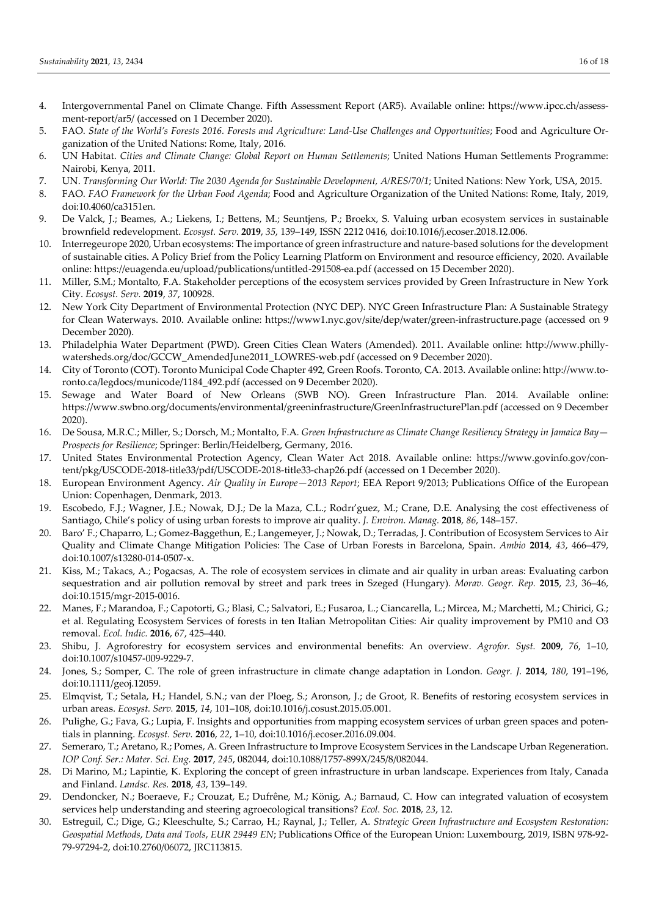- 4. Intergovernmental Panel on Climate Change. Fifth Assessment Report (AR5). Available online: https://www.ipcc.ch/assessment-report/ar5/ (accessed on 1 December 2020).
- 5. FAO. *State of the World's Forests 2016. Forests and Agriculture: Land-Use Challenges and Opportunities*; Food and Agriculture Organization of the United Nations: Rome, Italy, 2016.
- 6. UN Habitat. *Cities and Climate Change: Global Report on Human Settlements*; United Nations Human Settlements Programme: Nairobi, Kenya, 2011.
- 7. UN. *Transforming Our World: The 2030 Agenda for Sustainable Development, A/RES/70/1*; United Nations: New York, USA, 2015.
- 8. FAO. *FAO Framework for the Urban Food Agenda*; Food and Agriculture Organization of the United Nations: Rome, Italy, 2019, doi:10.4060/ca3151en.
- 9. De Valck, J.; Beames, A.; Liekens, I.; Bettens, M.; Seuntjens, P.; Broekx, S. Valuing urban ecosystem services in sustainable brownfield redevelopment. *Ecosyst. Serv.* **2019**, *35*, 139–149, ISSN 2212 0416, doi:10.1016/j.ecoser.2018.12.006.
- 10. Interregeurope 2020, Urban ecosystems: The importance of green infrastructure and nature-based solutions for the development of sustainable cities. A Policy Brief from the Policy Learning Platform on Environment and resource efficiency, 2020. Available online: https://euagenda.eu/upload/publications/untitled-291508-ea.pdf (accessed on 15 December 2020).
- 11. Miller, S.M.; Montalto, F.A. Stakeholder perceptions of the ecosystem services provided by Green Infrastructure in New York City. *Ecosyst. Serv.* **2019**, *37*, 100928.
- 12. New York City Department of Environmental Protection (NYC DEP). NYC Green Infrastructure Plan: A Sustainable Strategy for Clean Waterways. 2010. Available online: https://www1.nyc.gov/site/dep/water/green-infrastructure.page (accessed on 9 December 2020).
- 13. Philadelphia Water Department (PWD). Green Cities Clean Waters (Amended). 2011. Available online: http://www.phillywatersheds.org/doc/GCCW\_AmendedJune2011\_LOWRES-web.pdf (accessed on 9 December 2020).
- 14. City of Toronto (COT). Toronto Municipal Code Chapter 492, Green Roofs. Toronto, CA. 2013. Available online: http://www.toronto.ca/legdocs/municode/1184\_492.pdf (accessed on 9 December 2020).
- 15. Sewage and Water Board of New Orleans (SWB NO). Green Infrastructure Plan. 2014. Available online: https://www.swbno.org/documents/environmental/greeninfrastructure/GreenInfrastructurePlan.pdf (accessed on 9 December 2020).
- 16. De Sousa, M.R.C.; Miller, S.; Dorsch, M.; Montalto, F.A*. Green Infrastructure as Climate Change Resiliency Strategy in Jamaica Bay Prospects for Resilience*; Springer: Berlin/Heidelberg, Germany, 2016.
- 17. United States Environmental Protection Agency, Clean Water Act 2018. Available online: https://www.govinfo.gov/content/pkg/USCODE-2018-title33/pdf/USCODE-2018-title33-chap26.pdf (accessed on 1 December 2020).
- 18. European Environment Agency. *Air Quality in Europe—2013 Report*; EEA Report 9/2013; Publications Office of the European Union: Copenhagen, Denmark, 2013.
- 19. Escobedo, F.J.; Wagner, J.E.; Nowak, D.J.; De la Maza, C.L.; Rodrı'guez, M.; Crane, D.E. Analysing the cost effectiveness of Santiago, Chile's policy of using urban forests to improve air quality. *J. Environ. Manag.* **2018**, *86*, 148–157.
- 20. Baro' F.; Chaparro, L.; Gomez-Baggethun, E.; Langemeyer, J.; Nowak, D.; Terradas, J. Contribution of Ecosystem Services to Air Quality and Climate Change Mitigation Policies: The Case of Urban Forests in Barcelona, Spain. *Ambio* **2014**, *43*, 466–479, doi:10.1007/s13280-014-0507-x.
- 21. Kiss, M.; Takacs, A.; Pogacsas, A. The role of ecosystem services in climate and air quality in urban areas: Evaluating carbon sequestration and air pollution removal by street and park trees in Szeged (Hungary). *Morav. Geogr. Rep.* **2015**, *23*, 36–46, doi:10.1515/mgr-2015-0016.
- 22. Manes, F.; Marandoa, F.; Capotorti, G.; Blasi, C.; Salvatori, E.; Fusaroa, L.; Ciancarella, L.; Mircea, M.; Marchetti, M.; Chirici, G.; et al. Regulating Ecosystem Services of forests in ten Italian Metropolitan Cities: Air quality improvement by PM10 and O3 removal. *Ecol. Indic.* **2016**, *67*, 425–440.
- 23. Shibu, J. Agroforestry for ecosystem services and environmental benefits: An overview. *Agrofor. Syst.* **2009**, *76*, 1–10, doi:10.1007/s10457-009-9229-7.
- 24. Jones, S.; Somper, C. The role of green infrastructure in climate change adaptation in London. *Geogr. J.* **2014**, *180*, 191–196, doi:10.1111/geoj.12059.
- 25. Elmqvist, T.; Setala, H.; Handel, S.N.; van der Ploeg, S.; Aronson, J.; de Groot, R. Benefits of restoring ecosystem services in urban areas. *Ecosyst. Serv.* **2015**, *14*, 101–108, doi:10.1016/j.cosust.2015.05.001.
- 26. Pulighe, G.; Fava, G.; Lupia, F. Insights and opportunities from mapping ecosystem services of urban green spaces and potentials in planning. *Ecosyst. Serv.* **2016**, *22*, 1–10, doi:10.1016/j.ecoser.2016.09.004.
- 27. Semeraro, T.; Aretano, R.; Pomes, A. Green Infrastructure to Improve Ecosystem Services in the Landscape Urban Regeneration. *IOP Conf. Ser.: Mater. Sci. Eng.* **2017**, *245*, 082044, doi:10.1088/1757-899X/245/8/082044.
- 28. Di Marino, M.; Lapintie, K. Exploring the concept of green infrastructure in urban landscape. Experiences from Italy, Canada and Finland. *Landsc. Res.* **2018**, *43*, 139–149.
- 29. Dendoncker, N.; Boeraeve, F.; Crouzat, E.; Dufrêne, M.; König, A.; Barnaud, C. How can integrated valuation of ecosystem services help understanding and steering agroecological transitions? *Ecol. Soc.* **2018**, *23*, 12.
- 30. Estreguil, C.; Dige, G.; Kleeschulte, S.; Carrao, H.; Raynal, J.; Teller, A. *Strategic Green Infrastructure and Ecosystem Restoration: Geospatial Methods*, *Data and Tools*, *EUR 29449 EN*; Publications Office of the European Union: Luxembourg, 2019, ISBN 978-92- 79-97294-2, doi:10.2760/06072, JRC113815.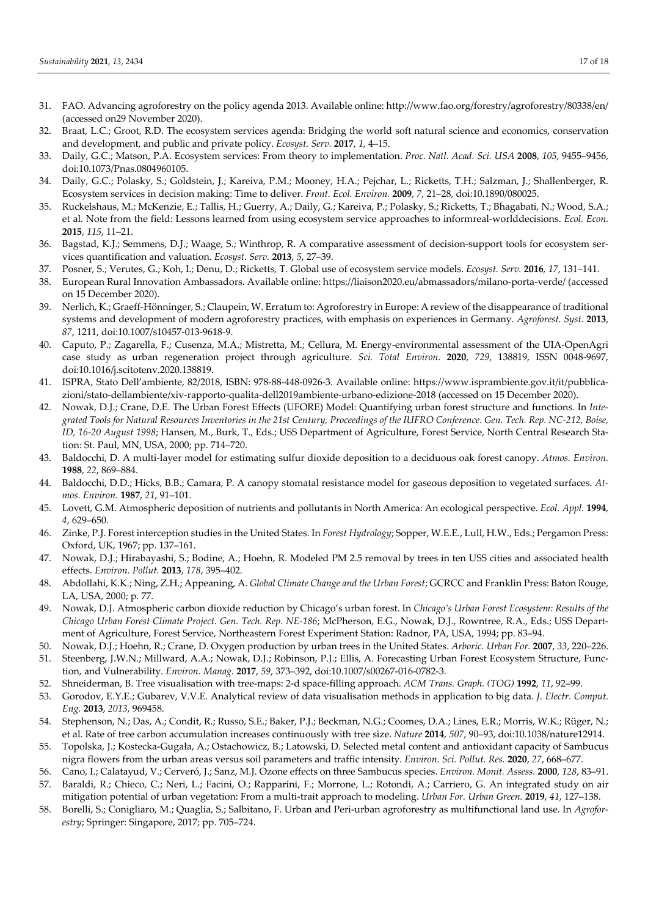- 31. FAO. Advancing agroforestry on the policy agenda 2013. Available online: http://www.fao.org/forestry/agroforestry/80338/en/ (accessed on29 November 2020).
- 32. Braat, L.C.; Groot, R.D. The ecosystem services agenda: Bridging the world soft natural science and economics, conservation and development, and public and private policy. *Ecosyst. Serv.* **2017**, *1*, 4–15.
- 33. Daily, G.C.; Matson, P.A. Ecosystem services: From theory to implementation. *Proc. Natl. Acad. Sci. USA* **2008**, *105*, 9455–9456, doi:10.1073/Pnas.0804960105.
- 34. Daily, G.C.; Polasky, S.; Goldstein, J.; Kareiva, P.M.; Mooney, H.A.; Pejchar, L.; Ricketts, T.H.; Salzman, J.; Shallenberger, R. Ecosystem services in decision making: Time to deliver. *Front. Ecol. Environ.* **2009**, *7*, 21–28, doi:10.1890/080025.
- 35. Ruckelshaus, M.; McKenzie, E.; Tallis, H.; Guerry, A.; Daily, G.; Kareiva, P.; Polasky, S.; Ricketts, T.; Bhagabati, N.; Wood, S.A.; et al. Note from the field: Lessons learned from using ecosystem service approaches to informreal-worlddecisions. *Ecol. Econ.* **2015**, *115*, 11–21.
- 36. Bagstad, K.J.; Semmens, D.J.; Waage, S.; Winthrop, R. A comparative assessment of decision-support tools for ecosystem services quantification and valuation. *Ecosyst. Serv.* **2013**, *5*, 27–39.
- 37. Posner, S.; Verutes, G.; Koh, I.; Denu, D.; Ricketts, T. Global use of ecosystem service models. *Ecosyst. Serv.* **2016**, *17*, 131–141.
- 38. European Rural Innovation Ambassadors. Available online: https://liaison2020.eu/abmassadors/milano-porta-verde/ (accessed on 15 December 2020).
- 39. Nerlich, K.; Graeff-Hönninger, S.; Claupein, W. Erratum to: Agroforestry in Europe: A review of the disappearance of traditional systems and development of modern agroforestry practices, with emphasis on experiences in Germany. *Agroforest. Syst.* **2013**, *87*, 1211, doi:10.1007/s10457-013-9618-9.
- 40. Caputo, P.; Zagarella, F.; Cusenza, M.A.; Mistretta, M.; Cellura, M. Energy-environmental assessment of the UIA-OpenAgri case study as urban regeneration project through agriculture. *Sci. Total Environ.* **2020**, *729*, 138819, ISSN 0048-9697, doi:10.1016/j.scitotenv.2020.138819.
- 41. ISPRA, Stato Dell'ambiente, 82/2018, ISBN: 978-88-448-0926-3. Available online: https://www.isprambiente.gov.it/it/pubblicazioni/stato-dellambiente/xiv-rapporto-qualita-dell2019ambiente-urbano-edizione-2018 (accessed on 15 December 2020).
- 42. Nowak, D.J.; Crane, D.E. The Urban Forest Effects (UFORE) Model: Quantifying urban forest structure and functions. In *Integrated Tools for Natural Resources Inventories in the 21st Century, Proceedings of the IUFRO Conference. Gen. Tech. Rep. NC-212, Boise, ID, 16-20 August 1998*; Hansen, M., Burk, T., Eds.; USS Department of Agriculture, Forest Service, North Central Research Station: St. Paul, MN, USA, 2000; pp. 714–720.
- 43. Baldocchi, D. A multi-layer model for estimating sulfur dioxide deposition to a deciduous oak forest canopy. *Atmos. Environ.*  **1988**, *22*, 869–884.
- 44. Baldocchi, D.D.; Hicks, B.B.; Camara, P. A canopy stomatal resistance model for gaseous deposition to vegetated surfaces. *Atmos. Environ.* **1987**, *21*, 91–101.
- 45. Lovett, G.M. Atmospheric deposition of nutrients and pollutants in North America: An ecological perspective. *Ecol. Appl.* **1994**, *4*, 629–650.
- 46. Zinke, P.J. Forest interception studies in the United States. In *Forest Hydrology*; Sopper, W.E.E., Lull, H.W., Eds.; Pergamon Press: Oxford, UK, 1967; pp. 137–161.
- 47. Nowak, D.J.; Hirabayashi, S.; Bodine, A.; Hoehn, R. Modeled PM 2.5 removal by trees in ten USS cities and associated health effects. *Environ. Pollut.* **2013**, *178*, 395–402.
- 48. Abdollahi, K.K.; Ning, Z.H.; Appeaning, A. *Global Climate Change and the Urban Forest*; GCRCC and Franklin Press: Baton Rouge, LA, USA, 2000; p. 77.
- 49. Nowak, D.J. Atmospheric carbon dioxide reduction by Chicago's urban forest. In *Chicago's Urban Forest Ecosystem: Results of the Chicago Urban Forest Climate Project. Gen. Tech. Rep. NE-186*; McPherson, E.G., Nowak, D.J., Rowntree, R.A., Eds.; USS Department of Agriculture, Forest Service, Northeastern Forest Experiment Station: Radnor, PA, USA, 1994; pp. 83–94.
- 50. Nowak, D.J.; Hoehn, R.; Crane, D. Oxygen production by urban trees in the United States. *Arboric. Urban For.* **2007**, *33*, 220–226.
- 51. Steenberg, J.W.N.; Millward, A.A.; Nowak, D.J.; Robinson, P.J.; Ellis, A. Forecasting Urban Forest Ecosystem Structure, Function, and Vulnerability. *Environ. Manag.* **2017**, *59*, 373–392, doi:10.1007/s00267-016-0782-3.
- 52. Shneiderman, B. Tree visualisation with tree-maps: 2-d space-filling approach. *ACM Trans. Graph. (TOG)* **1992**, *11*, 92–99.
- 53. Gorodov, E.Y.E.; Gubarev, V.V.E. Analytical review of data visualisation methods in application to big data. *J. Electr. Comput. Eng.* **2013**, *2013*, 969458.
- 54. Stephenson, N.; Das, A.; Condit, R.; Russo, S.E.; Baker, P.J.; Beckman, N.G.; Coomes, D.A.; Lines, E.R.; Morris, W.K.; Rüger, N.; et al. Rate of tree carbon accumulation increases continuously with tree size. *Nature* **2014**, *507*, 90–93, doi:10.1038/nature12914.
- 55. Topolska, J.; Kostecka-Gugała, A.; Ostachowicz, B.; Latowski, D. Selected metal content and antioxidant capacity of Sambucus nigra flowers from the urban areas versus soil parameters and traffic intensity. *Environ. Sci. Pollut. Res.* **2020**, *27*, 668–677.
- 56. Cano, I.; Calatayud, V.; Cerveró, J.; Sanz, M.J. Ozone effects on three Sambucus species. *Environ. Monit. Assess.* **2000**, *128*, 83–91.
- 57. Baraldi, R.; Chieco, C.; Neri, L.; Facini, O.; Rapparini, F.; Morrone, L.; Rotondi, A.; Carriero, G. An integrated study on air mitigation potential of urban vegetation: From a multi-trait approach to modeling. *Urban For. Urban Green.* **2019**, *41*, 127–138.
- 58. Borelli, S.; Conigliaro, M.; Quaglia, S.; Salbitano, F. Urban and Peri-urban agroforestry as multifunctional land use. In *Agroforestry*; Springer: Singapore, 2017; pp. 705–724.